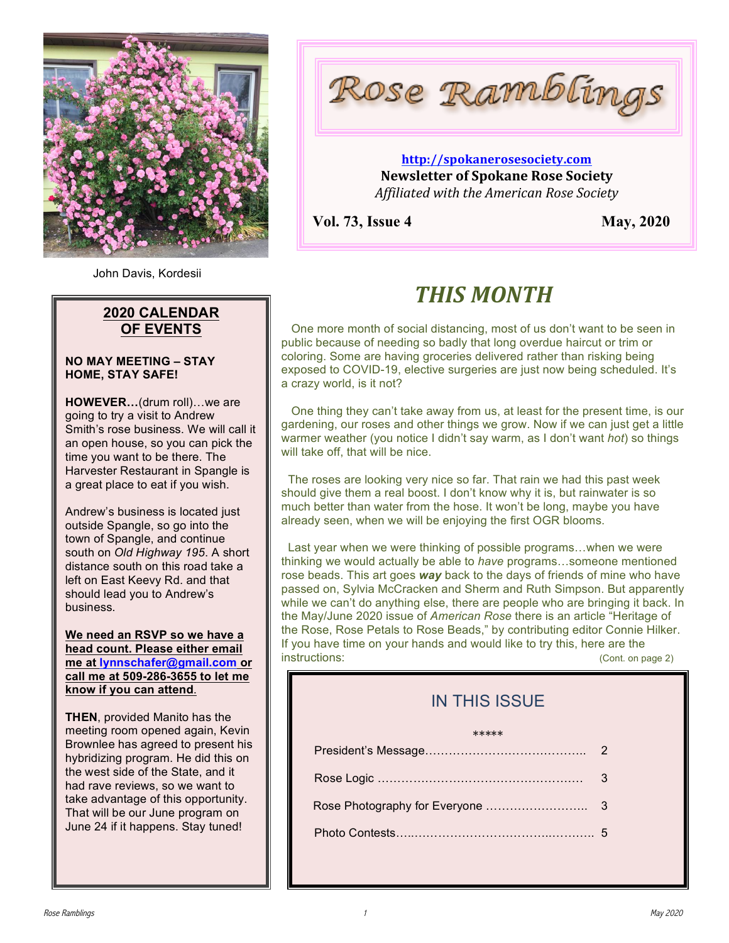

John Davis, Kordesii

## **2020 CALENDAR OF EVENTS**

#### **NO MAY MEETING – STAY HOME, STAY SAFE!**

**HOWEVER…**(drum roll)…we are going to try a visit to Andrew Smith's rose business. We will call it an open house, so you can pick the time you want to be there. The Harvester Restaurant in Spangle is a great place to eat if you wish.

Andrew's business is located just outside Spangle, so go into the town of Spangle, and continue south on *Old Highway 195*. A short distance south on this road take a left on East Keevy Rd. and that should lead you to Andrew's business.

**We need an RSVP so we have a head count. Please either email me at lynnschafer@gmail.com or call me at 509-286-3655 to let me know if you can attend**.

**THEN**, provided Manito has the meeting room opened again, Kevin Brownlee has agreed to present his hybridizing program. He did this on the west side of the State, and it had rave reviews, so we want to take advantage of this opportunity. That will be our June program on June 24 if it happens. Stay tuned!

Rose Ramblings

### **http://spokanerosesociety.com Newsletter of Spokane Rose Society** *Affiliated with the American Rose Society*

**Vol. 73, Issue 4** May, 2020

# *THIS MONTH*

 One more month of social distancing, most of us don't want to be seen in public because of needing so badly that long overdue haircut or trim or coloring. Some are having groceries delivered rather than risking being exposed to COVID-19, elective surgeries are just now being scheduled. It's a crazy world, is it not?

 One thing they can't take away from us, at least for the present time, is our gardening, our roses and other things we grow. Now if we can just get a little warmer weather (you notice I didn't say warm, as I don't want *hot*) so things will take off, that will be nice.

 The roses are looking very nice so far. That rain we had this past week should give them a real boost. I don't know why it is, but rainwater is so much better than water from the hose. It won't be long, maybe you have already seen, when we will be enjoying the first OGR blooms.

 Last year when we were thinking of possible programs…when we were thinking we would actually be able to *have* programs…someone mentioned rose beads. This art goes *way* back to the days of friends of mine who have passed on, Sylvia McCracken and Sherm and Ruth Simpson. But apparently while we can't do anything else, there are people who are bringing it back. In the May/June 2020 issue of *American Rose* there is an article "Heritage of the Rose, Rose Petals to Rose Beads," by contributing editor Connie Hilker. If you have time on your hands and would like to try this, here are the instructions: (Cont. on page 2)

# IN THIS ISSUE

#### \*\*\*\*\*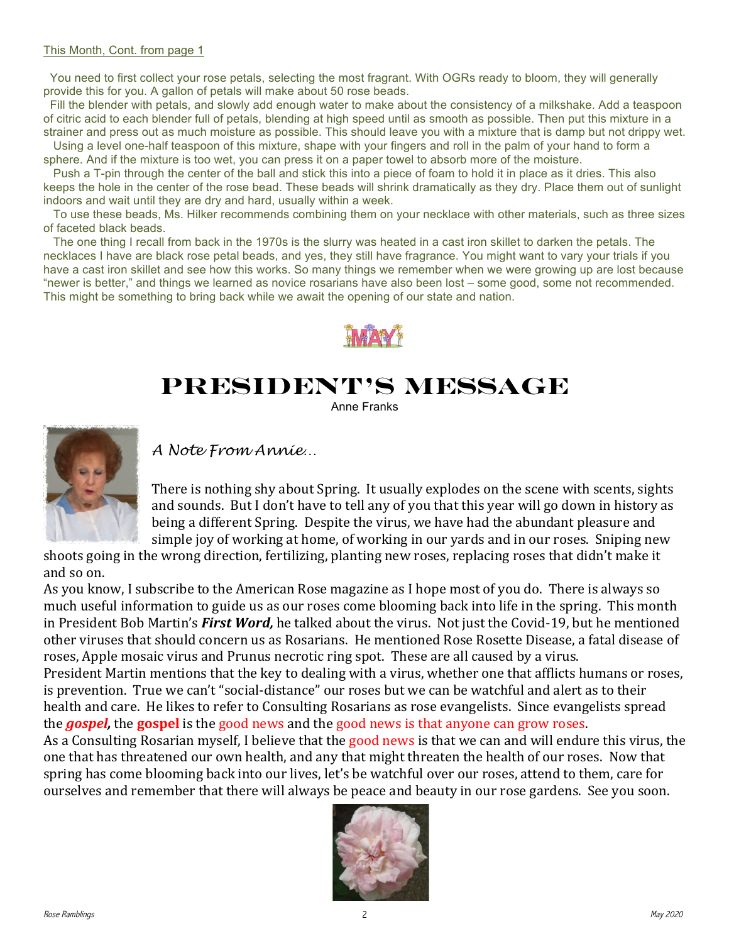#### This Month, Cont. from page 1

You need to first collect your rose petals, selecting the most fragrant. With OGRs ready to bloom, they will generally provide this for you. A gallon of petals will make about 50 rose beads.

 Fill the blender with petals, and slowly add enough water to make about the consistency of a milkshake. Add a teaspoon of citric acid to each blender full of petals, blending at high speed until as smooth as possible. Then put this mixture in a strainer and press out as much moisture as possible. This should leave you with a mixture that is damp but not drippy wet. Using a level one-half teaspoon of this mixture, shape with your fingers and roll in the palm of your hand to form a

sphere. And if the mixture is too wet, you can press it on a paper towel to absorb more of the moisture.

 Push a T-pin through the center of the ball and stick this into a piece of foam to hold it in place as it dries. This also keeps the hole in the center of the rose bead. These beads will shrink dramatically as they dry. Place them out of sunlight indoors and wait until they are dry and hard, usually within a week.

 To use these beads, Ms. Hilker recommends combining them on your necklace with other materials, such as three sizes of faceted black beads.

 The one thing I recall from back in the 1970s is the slurry was heated in a cast iron skillet to darken the petals. The necklaces I have are black rose petal beads, and yes, they still have fragrance. You might want to vary your trials if you have a cast iron skillet and see how this works. So many things we remember when we were growing up are lost because "newer is better," and things we learned as novice rosarians have also been lost – some good, some not recommended. This might be something to bring back while we await the opening of our state and nation.



# **President's Message**

Anne Franks



*A Note From Annie…*

There is nothing shy about Spring. It usually explodes on the scene with scents, sights and sounds. But I don't have to tell any of you that this year will go down in history as being a different Spring. Despite the virus, we have had the abundant pleasure and simple joy of working at home, of working in our yards and in our roses. Sniping new

shoots going in the wrong direction, fertilizing, planting new roses, replacing roses that didn't make it and so on.

As you know, I subscribe to the American Rose magazine as I hope most of you do. There is always so much useful information to guide us as our roses come blooming back into life in the spring. This month in President Bob Martin's *First Word*, he talked about the virus. Not just the Covid-19, but he mentioned other viruses that should concern us as Rosarians. He mentioned Rose Rosette Disease, a fatal disease of roses, Apple mosaic virus and Prunus necrotic ring spot. These are all caused by a virus. President Martin mentions that the key to dealing with a virus, whether one that afflicts humans or roses, is prevention. True we can't "social-distance" our roses but we can be watchful and alert as to their health and care. He likes to refer to Consulting Rosarians as rose evangelists. Since evangelists spread the **gospel**, the **gospel** is the good news and the good news is that anyone can grow roses. As a Consulting Rosarian myself, I believe that the good news is that we can and will endure this virus, the one that has threatened our own health, and any that might threaten the health of our roses. Now that spring has come blooming back into our lives, let's be watchful over our roses, attend to them, care for ourselves and remember that there will always be peace and beauty in our rose gardens. See you soon.

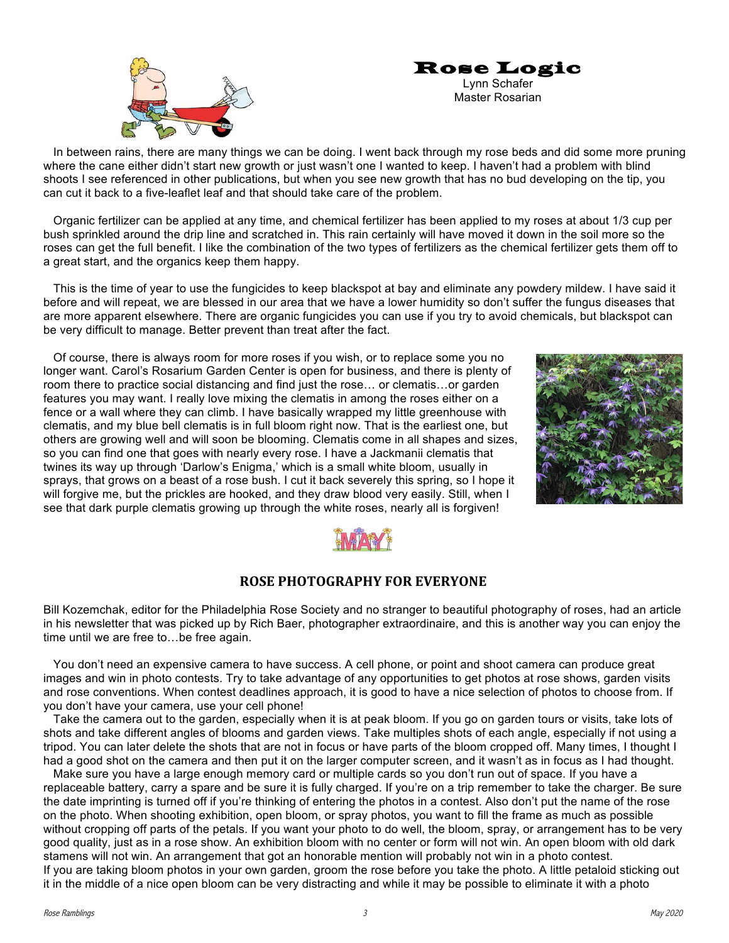



 In between rains, there are many things we can be doing. I went back through my rose beds and did some more pruning where the cane either didn't start new growth or just wasn't one I wanted to keep. I haven't had a problem with blind shoots I see referenced in other publications, but when you see new growth that has no bud developing on the tip, you can cut it back to a five-leaflet leaf and that should take care of the problem.

 Organic fertilizer can be applied at any time, and chemical fertilizer has been applied to my roses at about 1/3 cup per bush sprinkled around the drip line and scratched in. This rain certainly will have moved it down in the soil more so the roses can get the full benefit. I like the combination of the two types of fertilizers as the chemical fertilizer gets them off to a great start, and the organics keep them happy.

 This is the time of year to use the fungicides to keep blackspot at bay and eliminate any powdery mildew. I have said it before and will repeat, we are blessed in our area that we have a lower humidity so don't suffer the fungus diseases that are more apparent elsewhere. There are organic fungicides you can use if you try to avoid chemicals, but blackspot can be very difficult to manage. Better prevent than treat after the fact.

 Of course, there is always room for more roses if you wish, or to replace some you no longer want. Carol's Rosarium Garden Center is open for business, and there is plenty of room there to practice social distancing and find just the rose… or clematis…or garden features you may want. I really love mixing the clematis in among the roses either on a fence or a wall where they can climb. I have basically wrapped my little greenhouse with clematis, and my blue bell clematis is in full bloom right now. That is the earliest one, but others are growing well and will soon be blooming. Clematis come in all shapes and sizes, so you can find one that goes with nearly every rose. I have a Jackmanii clematis that twines its way up through 'Darlow's Enigma,' which is a small white bloom, usually in sprays, that grows on a beast of a rose bush. I cut it back severely this spring, so I hope it will forgive me, but the prickles are hooked, and they draw blood very easily. Still, when I see that dark purple clematis growing up through the white roses, nearly all is forgiven!





### **ROSE PHOTOGRAPHY FOR EVERYONE**

Bill Kozemchak, editor for the Philadelphia Rose Society and no stranger to beautiful photography of roses, had an article in his newsletter that was picked up by Rich Baer, photographer extraordinaire, and this is another way you can enjoy the time until we are free to…be free again.

 You don't need an expensive camera to have success. A cell phone, or point and shoot camera can produce great images and win in photo contests. Try to take advantage of any opportunities to get photos at rose shows, garden visits and rose conventions. When contest deadlines approach, it is good to have a nice selection of photos to choose from. If you don't have your camera, use your cell phone!

 Take the camera out to the garden, especially when it is at peak bloom. If you go on garden tours or visits, take lots of shots and take different angles of blooms and garden views. Take multiples shots of each angle, especially if not using a tripod. You can later delete the shots that are not in focus or have parts of the bloom cropped off. Many times, I thought I had a good shot on the camera and then put it on the larger computer screen, and it wasn't as in focus as I had thought.

 Make sure you have a large enough memory card or multiple cards so you don't run out of space. If you have a replaceable battery, carry a spare and be sure it is fully charged. If you're on a trip remember to take the charger. Be sure the date imprinting is turned off if you're thinking of entering the photos in a contest. Also don't put the name of the rose on the photo. When shooting exhibition, open bloom, or spray photos, you want to fill the frame as much as possible without cropping off parts of the petals. If you want your photo to do well, the bloom, spray, or arrangement has to be very good quality, just as in a rose show. An exhibition bloom with no center or form will not win. An open bloom with old dark stamens will not win. An arrangement that got an honorable mention will probably not win in a photo contest. If you are taking bloom photos in your own garden, groom the rose before you take the photo. A little petaloid sticking out it in the middle of a nice open bloom can be very distracting and while it may be possible to eliminate it with a photo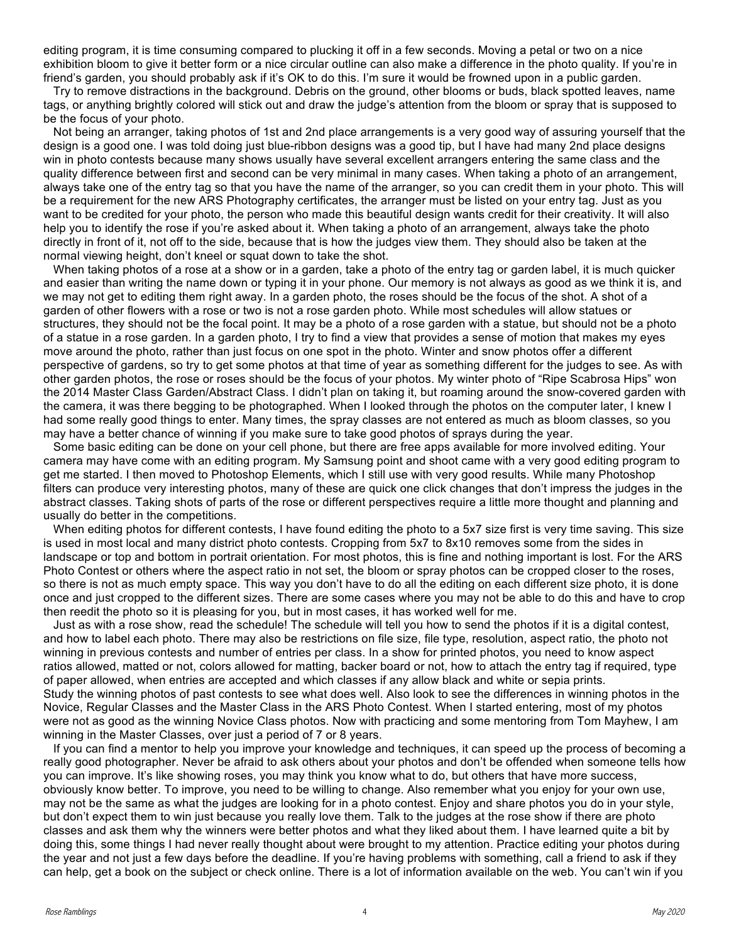editing program, it is time consuming compared to plucking it off in a few seconds. Moving a petal or two on a nice exhibition bloom to give it better form or a nice circular outline can also make a difference in the photo quality. If you're in friend's garden, you should probably ask if it's OK to do this. I'm sure it would be frowned upon in a public garden.

 Try to remove distractions in the background. Debris on the ground, other blooms or buds, black spotted leaves, name tags, or anything brightly colored will stick out and draw the judge's attention from the bloom or spray that is supposed to be the focus of your photo.

 Not being an arranger, taking photos of 1st and 2nd place arrangements is a very good way of assuring yourself that the design is a good one. I was told doing just blue-ribbon designs was a good tip, but I have had many 2nd place designs win in photo contests because many shows usually have several excellent arrangers entering the same class and the quality difference between first and second can be very minimal in many cases. When taking a photo of an arrangement, always take one of the entry tag so that you have the name of the arranger, so you can credit them in your photo. This will be a requirement for the new ARS Photography certificates, the arranger must be listed on your entry tag. Just as you want to be credited for your photo, the person who made this beautiful design wants credit for their creativity. It will also help you to identify the rose if you're asked about it. When taking a photo of an arrangement, always take the photo directly in front of it, not off to the side, because that is how the judges view them. They should also be taken at the normal viewing height, don't kneel or squat down to take the shot.

 When taking photos of a rose at a show or in a garden, take a photo of the entry tag or garden label, it is much quicker and easier than writing the name down or typing it in your phone. Our memory is not always as good as we think it is, and we may not get to editing them right away. In a garden photo, the roses should be the focus of the shot. A shot of a garden of other flowers with a rose or two is not a rose garden photo. While most schedules will allow statues or structures, they should not be the focal point. It may be a photo of a rose garden with a statue, but should not be a photo of a statue in a rose garden. In a garden photo, I try to find a view that provides a sense of motion that makes my eyes move around the photo, rather than just focus on one spot in the photo. Winter and snow photos offer a different perspective of gardens, so try to get some photos at that time of year as something different for the judges to see. As with other garden photos, the rose or roses should be the focus of your photos. My winter photo of "Ripe Scabrosa Hips" won the 2014 Master Class Garden/Abstract Class. I didn't plan on taking it, but roaming around the snow-covered garden with the camera, it was there begging to be photographed. When I looked through the photos on the computer later, I knew I had some really good things to enter. Many times, the spray classes are not entered as much as bloom classes, so you may have a better chance of winning if you make sure to take good photos of sprays during the year.

 Some basic editing can be done on your cell phone, but there are free apps available for more involved editing. Your camera may have come with an editing program. My Samsung point and shoot came with a very good editing program to get me started. I then moved to Photoshop Elements, which I still use with very good results. While many Photoshop filters can produce very interesting photos, many of these are quick one click changes that don't impress the judges in the abstract classes. Taking shots of parts of the rose or different perspectives require a little more thought and planning and usually do better in the competitions.

When editing photos for different contests, I have found editing the photo to a 5x7 size first is very time saving. This size is used in most local and many district photo contests. Cropping from 5x7 to 8x10 removes some from the sides in landscape or top and bottom in portrait orientation. For most photos, this is fine and nothing important is lost. For the ARS Photo Contest or others where the aspect ratio in not set, the bloom or spray photos can be cropped closer to the roses, so there is not as much empty space. This way you don't have to do all the editing on each different size photo, it is done once and just cropped to the different sizes. There are some cases where you may not be able to do this and have to crop then reedit the photo so it is pleasing for you, but in most cases, it has worked well for me.

 Just as with a rose show, read the schedule! The schedule will tell you how to send the photos if it is a digital contest, and how to label each photo. There may also be restrictions on file size, file type, resolution, aspect ratio, the photo not winning in previous contests and number of entries per class. In a show for printed photos, you need to know aspect ratios allowed, matted or not, colors allowed for matting, backer board or not, how to attach the entry tag if required, type of paper allowed, when entries are accepted and which classes if any allow black and white or sepia prints. Study the winning photos of past contests to see what does well. Also look to see the differences in winning photos in the Novice, Regular Classes and the Master Class in the ARS Photo Contest. When I started entering, most of my photos were not as good as the winning Novice Class photos. Now with practicing and some mentoring from Tom Mayhew, I am winning in the Master Classes, over just a period of 7 or 8 years.

 If you can find a mentor to help you improve your knowledge and techniques, it can speed up the process of becoming a really good photographer. Never be afraid to ask others about your photos and don't be offended when someone tells how you can improve. It's like showing roses, you may think you know what to do, but others that have more success, obviously know better. To improve, you need to be willing to change. Also remember what you enjoy for your own use, may not be the same as what the judges are looking for in a photo contest. Enjoy and share photos you do in your style, but don't expect them to win just because you really love them. Talk to the judges at the rose show if there are photo classes and ask them why the winners were better photos and what they liked about them. I have learned quite a bit by doing this, some things I had never really thought about were brought to my attention. Practice editing your photos during the year and not just a few days before the deadline. If you're having problems with something, call a friend to ask if they can help, get a book on the subject or check online. There is a lot of information available on the web. You can't win if you